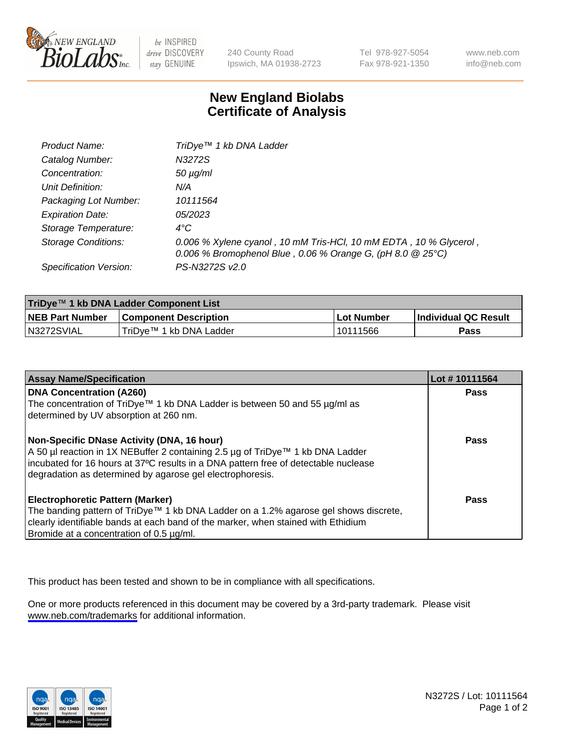

be INSPIRED drive DISCOVERY stay GENUINE

240 County Road Ipswich, MA 01938-2723 Tel 978-927-5054 Fax 978-921-1350

www.neb.com info@neb.com

## **New England Biolabs Certificate of Analysis**

| Product Name:              | TriDye <sup>™</sup> 1 kb DNA Ladder                                                                                               |
|----------------------------|-----------------------------------------------------------------------------------------------------------------------------------|
| Catalog Number:            | N3272S                                                                                                                            |
| Concentration:             | $50 \mu g/ml$                                                                                                                     |
| Unit Definition:           | N/A                                                                                                                               |
| Packaging Lot Number:      | 10111564                                                                                                                          |
| <b>Expiration Date:</b>    | <i>05/2023</i>                                                                                                                    |
| Storage Temperature:       | $4^{\circ}$ C                                                                                                                     |
| <b>Storage Conditions:</b> | 0.006 % Xylene cyanol, 10 mM Tris-HCl, 10 mM EDTA, 10 % Glycerol,<br>0.006 % Bromophenol Blue, 0.06 % Orange G, (pH 8.0 $@25°C$ ) |
| Specification Version:     | PS-N3272S v2.0                                                                                                                    |

| TriDye™ 1 kb DNA Ladder Component List |                              |                   |                      |  |
|----------------------------------------|------------------------------|-------------------|----------------------|--|
| <b>NEB Part Number</b>                 | <b>Component Description</b> | <b>Lot Number</b> | Individual QC Result |  |
| N3272SVIAL                             | TriDve™ 1 kb DNA Ladder      | l 10111566        | Pass                 |  |

| <b>Assay Name/Specification</b>                                                                                                                  | Lot #10111564 |
|--------------------------------------------------------------------------------------------------------------------------------------------------|---------------|
| <b>DNA Concentration (A260)</b><br>The concentration of TriDye™ 1 kb DNA Ladder is between 50 and 55 µg/ml as                                    | <b>Pass</b>   |
| determined by UV absorption at 260 nm.                                                                                                           |               |
| Non-Specific DNase Activity (DNA, 16 hour)                                                                                                       | Pass          |
| A 50 µl reaction in 1X NEBuffer 2 containing 2.5 µg of TriDye™ 1 kb DNA Ladder                                                                   |               |
| incubated for 16 hours at 37°C results in a DNA pattern free of detectable nuclease<br>degradation as determined by agarose gel electrophoresis. |               |
| <b>Electrophoretic Pattern (Marker)</b>                                                                                                          | Pass          |
| The banding pattern of TriDye™ 1 kb DNA Ladder on a 1.2% agarose gel shows discrete,                                                             |               |
| clearly identifiable bands at each band of the marker, when stained with Ethidium                                                                |               |
| Bromide at a concentration of 0.5 µg/ml.                                                                                                         |               |

This product has been tested and shown to be in compliance with all specifications.

One or more products referenced in this document may be covered by a 3rd-party trademark. Please visit <www.neb.com/trademarks>for additional information.